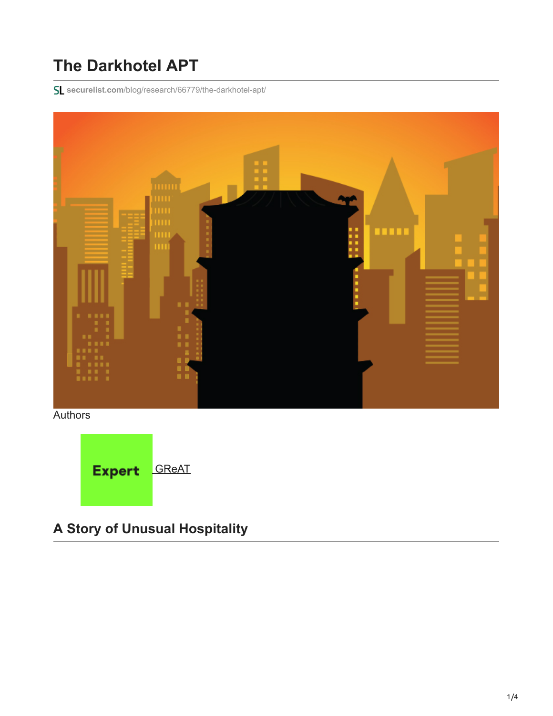## **The Darkhotel APT**

**securelist.com**[/blog/research/66779/the-darkhotel-apt/](https://securelist.com/blog/research/66779/the-darkhotel-apt/)



**Authors** 



## **A Story of Unusual Hospitality**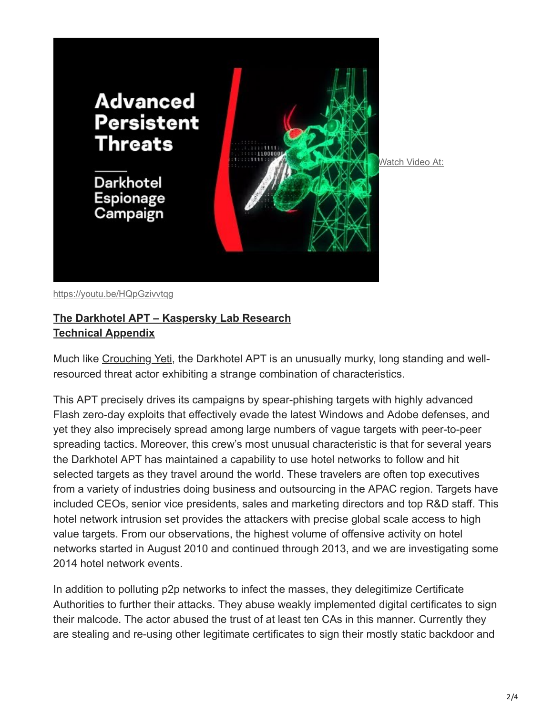

<https://youtu.be/HQpGzivvtqg>

## **[The Darkhotel APT – Kaspersky Lab Research](https://media.kasperskycontenthub.com/wp-content/uploads/sites/43/2018/03/08070903/darkhotel_kl_07.11.pdf) [Technical Appendix](https://media.kasperskycontenthub.com/wp-content/uploads/sites/43/2018/03/08070901/darkhotelappendixindicators_kl.pdf)**

Much like [Crouching Yeti](https://securelist.com/energetic-bear-more-like-a-crouching-yeti/65240/), the Darkhotel APT is an unusually murky, long standing and wellresourced threat actor exhibiting a strange combination of characteristics.

This APT precisely drives its campaigns by spear-phishing targets with highly advanced Flash zero-day exploits that effectively evade the latest Windows and Adobe defenses, and yet they also imprecisely spread among large numbers of vague targets with peer-to-peer spreading tactics. Moreover, this crew's most unusual characteristic is that for several years the Darkhotel APT has maintained a capability to use hotel networks to follow and hit selected targets as they travel around the world. These travelers are often top executives from a variety of industries doing business and outsourcing in the APAC region. Targets have included CEOs, senior vice presidents, sales and marketing directors and top R&D staff. This hotel network intrusion set provides the attackers with precise global scale access to high value targets. From our observations, the highest volume of offensive activity on hotel networks started in August 2010 and continued through 2013, and we are investigating some 2014 hotel network events.

In addition to polluting p2p networks to infect the masses, they delegitimize Certificate Authorities to further their attacks. They abuse weakly implemented digital certificates to sign their malcode. The actor abused the trust of at least ten CAs in this manner. Currently they are stealing and re-using other legitimate certificates to sign their mostly static backdoor and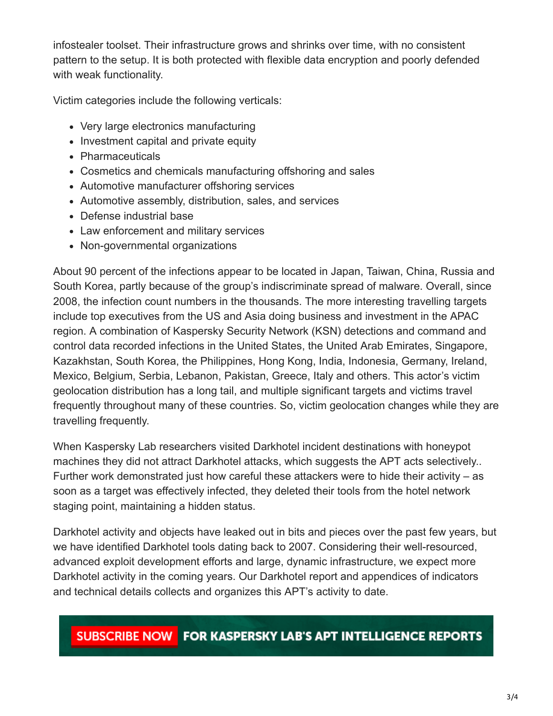infostealer toolset. Their infrastructure grows and shrinks over time, with no consistent pattern to the setup. It is both protected with flexible data encryption and poorly defended with weak functionality.

Victim categories include the following verticals:

- Very large electronics manufacturing
- Investment capital and private equity
- Pharmaceuticals
- Cosmetics and chemicals manufacturing offshoring and sales
- Automotive manufacturer offshoring services
- Automotive assembly, distribution, sales, and services
- Defense industrial base
- Law enforcement and military services
- Non-governmental organizations

About 90 percent of the infections appear to be located in Japan, Taiwan, China, Russia and South Korea, partly because of the group's indiscriminate spread of malware. Overall, since 2008, the infection count numbers in the thousands. The more interesting travelling targets include top executives from the US and Asia doing business and investment in the APAC region. A combination of Kaspersky Security Network (KSN) detections and command and control data recorded infections in the United States, the United Arab Emirates, Singapore, Kazakhstan, South Korea, the Philippines, Hong Kong, India, Indonesia, Germany, Ireland, Mexico, Belgium, Serbia, Lebanon, Pakistan, Greece, Italy and others. This actor's victim geolocation distribution has a long tail, and multiple significant targets and victims travel frequently throughout many of these countries. So, victim geolocation changes while they are travelling frequently.

When Kaspersky Lab researchers visited Darkhotel incident destinations with honeypot machines they did not attract Darkhotel attacks, which suggests the APT acts selectively.. Further work demonstrated just how careful these attackers were to hide their activity – as soon as a target was effectively infected, they deleted their tools from the hotel network staging point, maintaining a hidden status.

Darkhotel activity and objects have leaked out in bits and pieces over the past few years, but we have identified Darkhotel tools dating back to 2007. Considering their well-resourced, advanced exploit development efforts and large, dynamic infrastructure, we expect more Darkhotel activity in the coming years. Our Darkhotel report and appendices of indicators and technical details collects and organizes this APT's activity to date.

## SUBSCRIBE NOW FOR KASPERSKY LAB'S APT INTELLIGENCE REPORTS